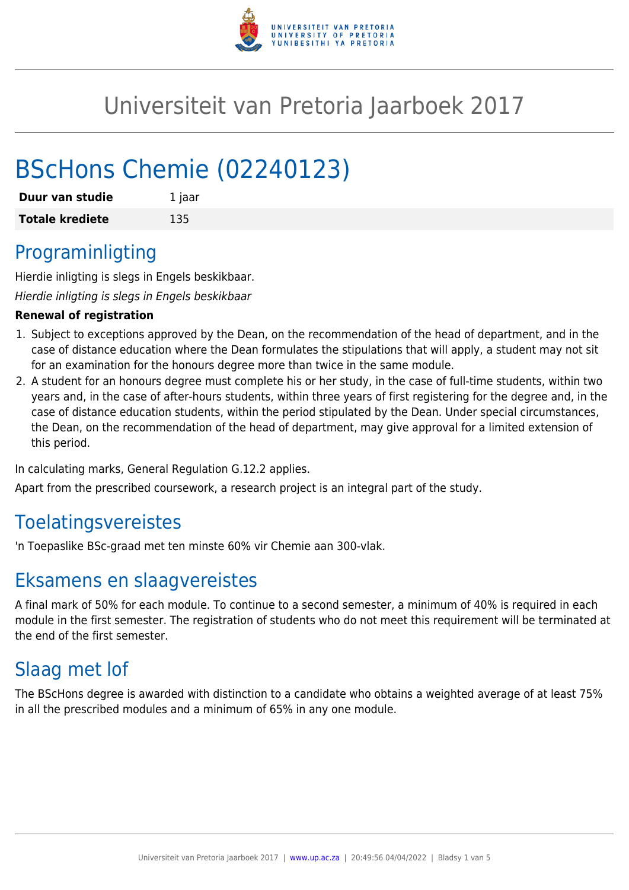

# Universiteit van Pretoria Jaarboek 2017

# BScHons Chemie (02240123)

| Duur van studie        | 1 jaar |
|------------------------|--------|
| <b>Totale krediete</b> | 135    |

# Programinligting

Hierdie inligting is slegs in Engels beskikbaar.

Hierdie inligting is slegs in Engels beskikbaar

### **Renewal of registration**

- 1. Subject to exceptions approved by the Dean, on the recommendation of the head of department, and in the case of distance education where the Dean formulates the stipulations that will apply, a student may not sit for an examination for the honours degree more than twice in the same module.
- 2. A student for an honours degree must complete his or her study, in the case of full-time students, within two years and, in the case of after-hours students, within three years of first registering for the degree and, in the case of distance education students, within the period stipulated by the Dean. Under special circumstances, the Dean, on the recommendation of the head of department, may give approval for a limited extension of this period.

In calculating marks, General Regulation G.12.2 applies.

Apart from the prescribed coursework, a research project is an integral part of the study.

# Toelatingsvereistes

'n Toepaslike BSc-graad met ten minste 60% vir Chemie aan 300-vlak.

# Eksamens en slaagvereistes

A final mark of 50% for each module. To continue to a second semester, a minimum of 40% is required in each module in the first semester. The registration of students who do not meet this requirement will be terminated at the end of the first semester.

# Slaag met lof

The BScHons degree is awarded with distinction to a candidate who obtains a weighted average of at least 75% in all the prescribed modules and a minimum of 65% in any one module.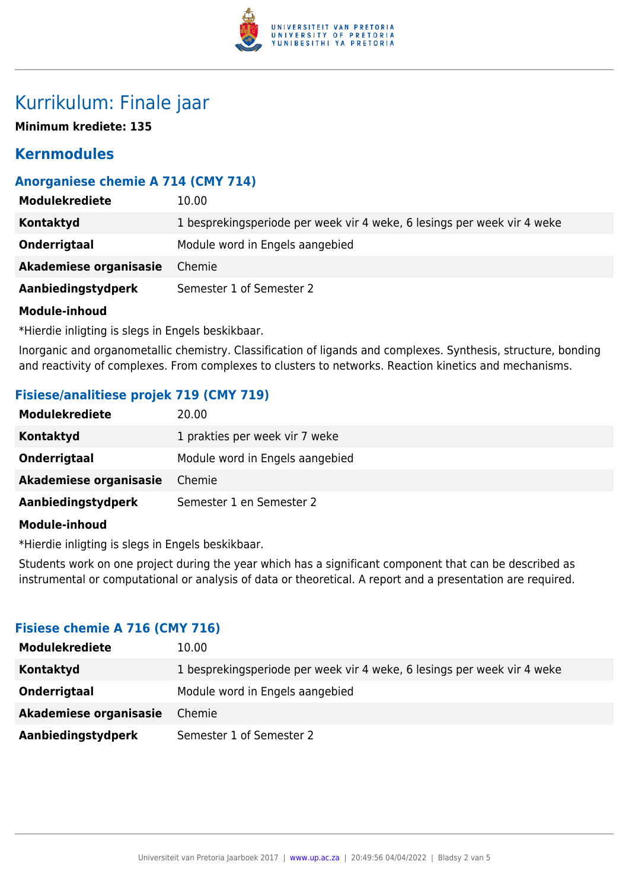

# Kurrikulum: Finale jaar

**Minimum krediete: 135**

# **Kernmodules**

# **Anorganiese chemie A 714 (CMY 714)**

| 10.00                                                                   |
|-------------------------------------------------------------------------|
| 1 besprekingsperiode per week vir 4 weke, 6 lesings per week vir 4 weke |
| Module word in Engels aangebied                                         |
| Chemie                                                                  |
| Semester 1 of Semester 2                                                |
|                                                                         |

### **Module-inhoud**

\*Hierdie inligting is slegs in Engels beskikbaar.

Inorganic and organometallic chemistry. Classification of ligands and complexes. Synthesis, structure, bonding and reactivity of complexes. From complexes to clusters to networks. Reaction kinetics and mechanisms.

# **Fisiese/analitiese projek 719 (CMY 719)**

| <b>Modulekrediete</b>  | 20.00                           |
|------------------------|---------------------------------|
| Kontaktyd              | 1 prakties per week vir 7 weke  |
| Onderrigtaal           | Module word in Engels aangebied |
| Akademiese organisasie | Chemie                          |
| Aanbiedingstydperk     | Semester 1 en Semester 2        |
| <b>Module-inhoud</b>   |                                 |

\*Hierdie inligting is slegs in Engels beskikbaar.

Students work on one project during the year which has a significant component that can be described as instrumental or computational or analysis of data or theoretical. A report and a presentation are required.

### **Fisiese chemie A 716 (CMY 716)**

| <b>Modulekrediete</b>  | 10.00                                                                   |
|------------------------|-------------------------------------------------------------------------|
| Kontaktyd              | 1 besprekingsperiode per week vir 4 weke, 6 lesings per week vir 4 weke |
| Onderrigtaal           | Module word in Engels aangebied                                         |
| Akademiese organisasie | Chemie                                                                  |
| Aanbiedingstydperk     | Semester 1 of Semester 2                                                |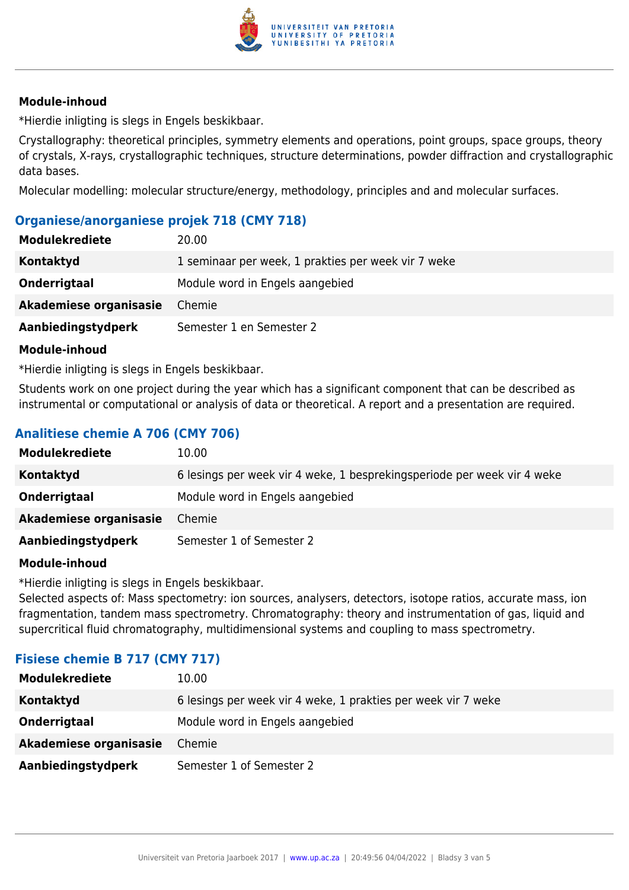

### **Module-inhoud**

\*Hierdie inligting is slegs in Engels beskikbaar.

Crystallography: theoretical principles, symmetry elements and operations, point groups, space groups, theory of crystals, X-rays, crystallographic techniques, structure determinations, powder diffraction and crystallographic data bases.

Molecular modelling: molecular structure/energy, methodology, principles and and molecular surfaces.

## **Organiese/anorganiese projek 718 (CMY 718)**

| <b>Modulekrediete</b>  | 20.00                                               |
|------------------------|-----------------------------------------------------|
| Kontaktyd              | 1 seminaar per week, 1 prakties per week vir 7 weke |
| Onderrigtaal           | Module word in Engels aangebied                     |
| Akademiese organisasie | Chemie                                              |
| Aanbiedingstydperk     | Semester 1 en Semester 2                            |

### **Module-inhoud**

\*Hierdie inligting is slegs in Engels beskikbaar.

Students work on one project during the year which has a significant component that can be described as instrumental or computational or analysis of data or theoretical. A report and a presentation are required.

# **Analitiese chemie A 706 (CMY 706)**

| <b>Modulekrediete</b>  | 10.00                                                                   |
|------------------------|-------------------------------------------------------------------------|
| Kontaktyd              | 6 lesings per week vir 4 weke, 1 besprekingsperiode per week vir 4 weke |
| Onderrigtaal           | Module word in Engels aangebied                                         |
| Akademiese organisasie | Chemie                                                                  |
| Aanbiedingstydperk     | Semester 1 of Semester 2                                                |

### **Module-inhoud**

\*Hierdie inligting is slegs in Engels beskikbaar.

Selected aspects of: Mass spectometry: ion sources, analysers, detectors, isotope ratios, accurate mass, ion fragmentation, tandem mass spectrometry. Chromatography: theory and instrumentation of gas, liquid and supercritical fluid chromatography, multidimensional systems and coupling to mass spectrometry.

### **Fisiese chemie B 717 (CMY 717)**

| <b>Modulekrediete</b>  | 10.00                                                         |
|------------------------|---------------------------------------------------------------|
| <b>Kontaktyd</b>       | 6 lesings per week vir 4 weke, 1 prakties per week vir 7 weke |
| Onderrigtaal           | Module word in Engels aangebied                               |
| Akademiese organisasie | Chemie                                                        |
| Aanbiedingstydperk     | Semester 1 of Semester 2                                      |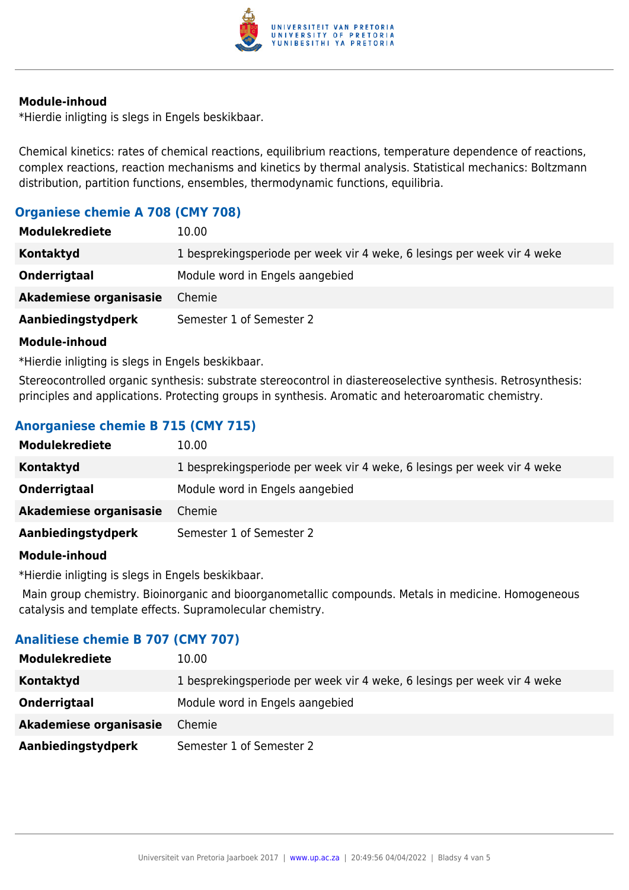

#### **Module-inhoud**

\*Hierdie inligting is slegs in Engels beskikbaar.

Chemical kinetics: rates of chemical reactions, equilibrium reactions, temperature dependence of reactions, complex reactions, reaction mechanisms and kinetics by thermal analysis. Statistical mechanics: Boltzmann distribution, partition functions, ensembles, thermodynamic functions, equilibria.

## **Organiese chemie A 708 (CMY 708)**

| <b>Modulekrediete</b>  | 10.00                                                                   |
|------------------------|-------------------------------------------------------------------------|
| Kontaktyd              | 1 besprekingsperiode per week vir 4 weke, 6 lesings per week vir 4 weke |
| Onderrigtaal           | Module word in Engels aangebied                                         |
| Akademiese organisasie | Chemie                                                                  |
| Aanbiedingstydperk     | Semester 1 of Semester 2                                                |

### **Module-inhoud**

\*Hierdie inligting is slegs in Engels beskikbaar.

Stereocontrolled organic synthesis: substrate stereocontrol in diastereoselective synthesis. Retrosynthesis: principles and applications. Protecting groups in synthesis. Aromatic and heteroaromatic chemistry.

# **Anorganiese chemie B 715 (CMY 715)**

| <b>Modulekrediete</b>  | 10.00                                                                   |
|------------------------|-------------------------------------------------------------------------|
| Kontaktyd              | 1 besprekingsperiode per week vir 4 weke, 6 lesings per week vir 4 weke |
| Onderrigtaal           | Module word in Engels aangebied                                         |
| Akademiese organisasie | Chemie                                                                  |
| Aanbiedingstydperk     | Semester 1 of Semester 2                                                |

### **Module-inhoud**

\*Hierdie inligting is slegs in Engels beskikbaar.

 Main group chemistry. Bioinorganic and bioorganometallic compounds. Metals in medicine. Homogeneous catalysis and template effects. Supramolecular chemistry.

### **Analitiese chemie B 707 (CMY 707)**

| <b>Modulekrediete</b>  | 10.00                                                                   |
|------------------------|-------------------------------------------------------------------------|
| Kontaktyd              | 1 besprekingsperiode per week vir 4 weke, 6 lesings per week vir 4 weke |
| Onderrigtaal           | Module word in Engels aangebied                                         |
| Akademiese organisasie | Chemie                                                                  |
| Aanbiedingstydperk     | Semester 1 of Semester 2                                                |